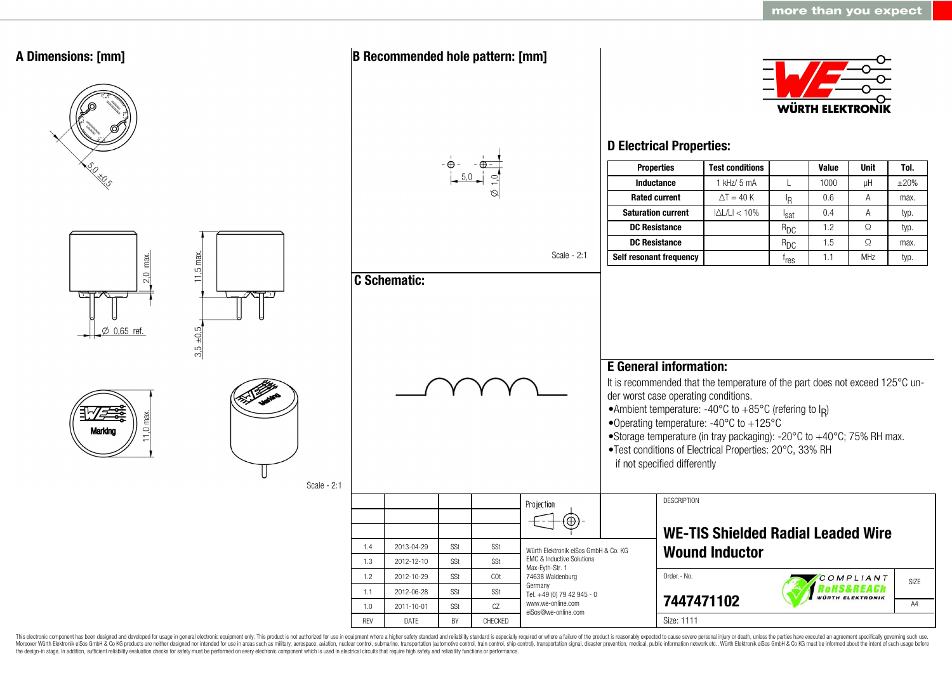

This electronic component has been designed and developed for usage in general electronic equipment only. This product is not authorized for use in equipment where a higher safety standard and reliability standard is espec Moreover Würth Elektronik eiSos GmbH & Co KG products are neither designed nor intended for use in areas such as military, aerospace, aviation, nuclear control, submarine, transportation (automotive control, ship control), the design-in stage. In addition, sufficient reliability evaluation checks for safety must be performed on every electronic component which is used in electrical circuits that require high safety and reliability functions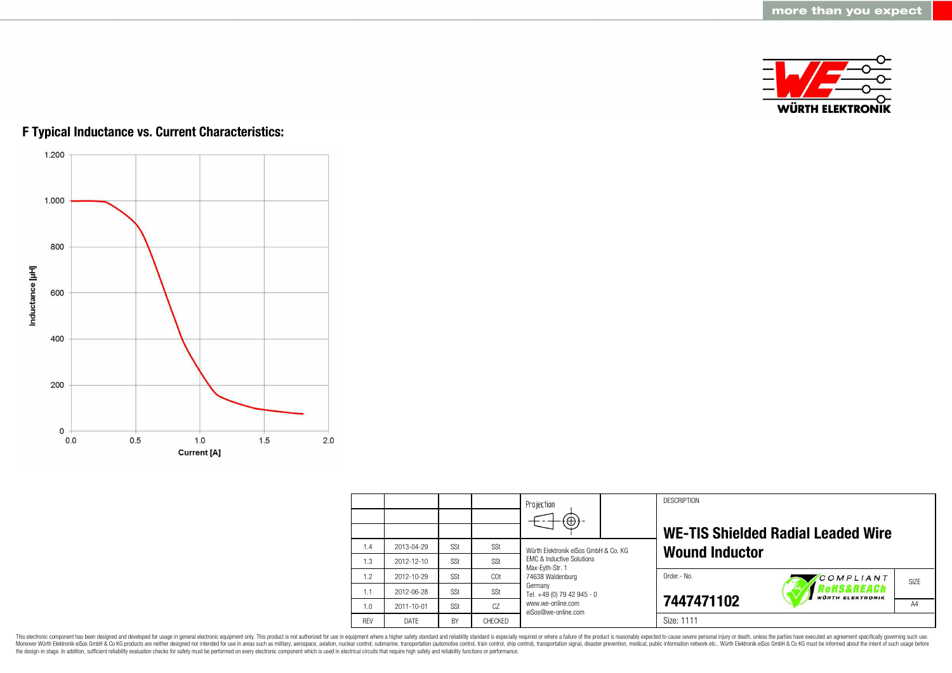

# **F Typical Inductance vs. Current Characteristics:**



|            |                  |            |                | Projection                                                                                      |  | <b>DESCRIPTION</b>    |                                                 |                   |
|------------|------------------|------------|----------------|-------------------------------------------------------------------------------------------------|--|-----------------------|-------------------------------------------------|-------------------|
|            |                  |            |                | $\circledast$                                                                                   |  |                       |                                                 |                   |
|            |                  |            |                |                                                                                                 |  |                       | <b>WE-TIS Shielded Radial Leaded Wire</b>       |                   |
| 1.4        | 2013-04-29       | SSt        | SSt            | Würth Elektronik eiSos GmbH & Co. KG<br><b>EMC &amp; Inductive Solutions</b><br>Max-Eyth-Str. 1 |  | <b>Wound Inductor</b> |                                                 |                   |
| 1.3        | 2012-12-10       | SSt        | SSt            |                                                                                                 |  |                       |                                                 |                   |
| 1.2        | 2012-10-29       | SSt        | COt            | 74638 Waldenburg<br>Germany<br>Tel. +49 (0) 79 42 945 - 0                                       |  | Order .- No.          | COMPLIANT                                       | SI <sub>7</sub> F |
| 1.1        | 2012-06-28       | SSt        | SSt            |                                                                                                 |  |                       | <b>OHS&amp;REACh</b><br><b>WÜRTH ELEKTRONIK</b> |                   |
| 1.0        | $2011 - 10 - 01$ | <b>SSt</b> | CZ             | www.we-online.com<br>eiSos@we-online.com                                                        |  | 7447471102            |                                                 | A4                |
| <b>RFV</b> | DATF             | <b>BY</b>  | <b>CHECKED</b> |                                                                                                 |  | Size: 1111            |                                                 |                   |

This electronic component has been designed and developed for usage in general electronic equipment only. This product is not authorized for use in equipment where a higher safety standard and reliability standard is espec Moreover Würth Elektronik eiSos GmbH & Co KG products are neither designed nor intended for use in areas such as military, aerospace, aviation, nuclear control, submarine, transportation (automotive control), stain control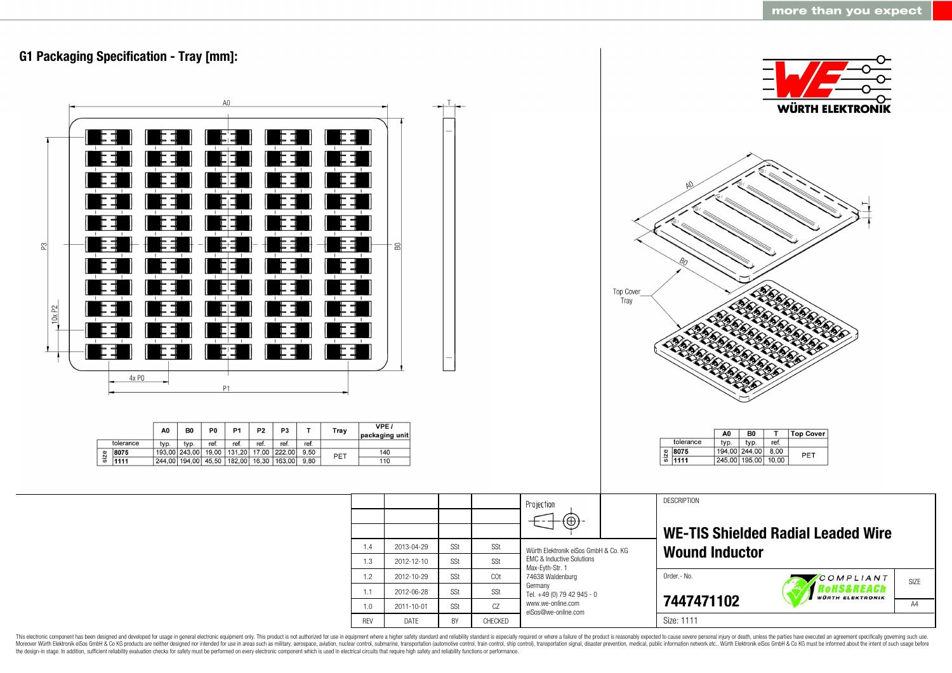

This electronic component has been designed and developed for usage in general electronic equipment only. This product is not authorized for use in equipment where a higher safety standard and reliability standard and reli Moreover Würth Elektronik eiSos GmbH & Co KG products are neither designed nor intended for use in areas such as military, aerospace, aviation, nuclear control, submarine, transportation (automotive control, ship control), the design-in stage. In addition, sufficient reliability evaluation checks for safety must be performed on every electronic component which is used in electrical circuits that require high safety and reliability functions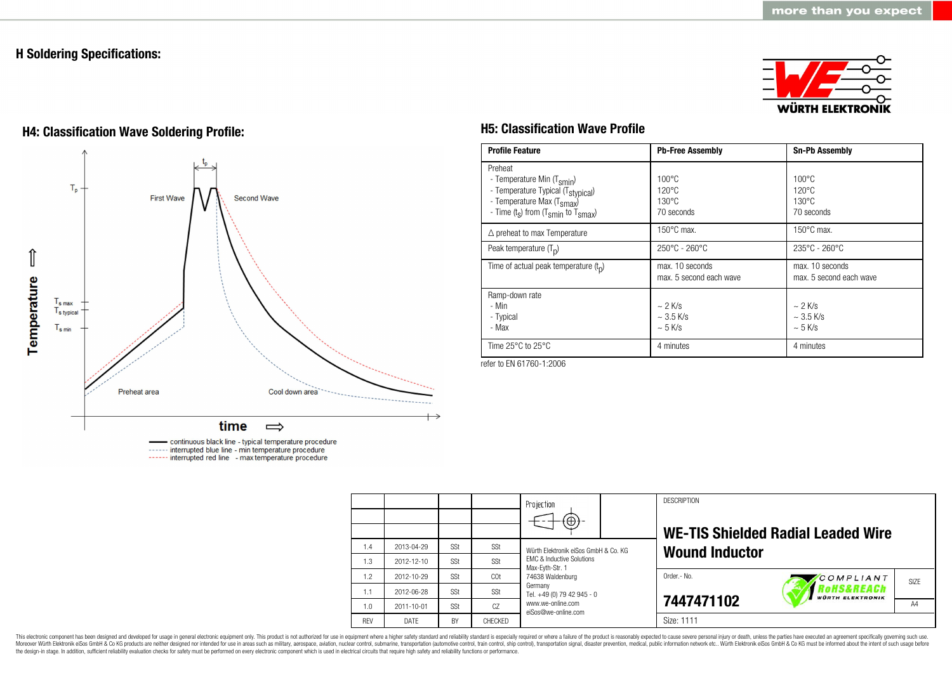# **H Soldering Specifications:**



# **H4: Classification Wave Soldering Profile: H5: Classification Wave Profile**



continuous black line - typical temperature procedure ------ interrupted blue line - min temperature procedure ------ interrupted red line - max temperature procedure

| <b>Profile Feature</b>                                                                                                                                                                          | <b>Pb-Free Assembly</b>                                             | <b>Sn-Pb Assembly</b>                                               |
|-------------------------------------------------------------------------------------------------------------------------------------------------------------------------------------------------|---------------------------------------------------------------------|---------------------------------------------------------------------|
| Preheat<br>- Temperature Min (T <sub>smin</sub> )<br>- Temperature Typical (T <sub>stypical</sub> )<br>- Temperature Max (T <sub>smax</sub> )<br>- Time $(t_s)$ from $(T_{smin}$ to $T_{smax})$ | $100^{\circ}$ C<br>$120^{\circ}$ C<br>$130^{\circ}$ C<br>70 seconds | $100^{\circ}$ C<br>$120^{\circ}$ C<br>$130^{\circ}$ C<br>70 seconds |
| $\triangle$ preheat to max Temperature                                                                                                                                                          | $150^{\circ}$ C max.                                                | $150^{\circ}$ C max.                                                |
| Peak temperature $(T_n)$                                                                                                                                                                        | $250^{\circ}$ C - 260 $^{\circ}$ C                                  | $235^{\circ}$ C - 260 $^{\circ}$ C                                  |
| Time of actual peak temperature $(t_n)$                                                                                                                                                         | max. 10 seconds<br>max. 5 second each wave                          | max. 10 seconds<br>max. 5 second each wave                          |
| Ramp-down rate<br>- Min<br>- Typical<br>- Max                                                                                                                                                   | $\sim$ 2 K/s<br>$\sim$ 3.5 K/s<br>$\sim$ 5 K/s                      | $\sim$ 2 K/s<br>$~\sim$ 3.5 K/s<br>$~5$ K/s                         |
| Time $25^{\circ}$ C to $25^{\circ}$ C                                                                                                                                                           | 4 minutes                                                           | 4 minutes                                                           |

refer to EN 61760-1:2006

|            |                  |     |         | Projection<br>$\circledast$                             | <b>DESCRIPTION</b><br><b>WE-TIS Shielded Radial Leaded Wire</b> |  |  |  |
|------------|------------------|-----|---------|---------------------------------------------------------|-----------------------------------------------------------------|--|--|--|
| 1.4        | 2013-04-29       | SSt | SSt     | Würth Flektronik eiSos GmbH & Co. KG                    | <b>Wound Inductor</b>                                           |  |  |  |
| 1.3        | $2012 - 12 - 10$ | SSt | SSt     | <b>EMC &amp; Inductive Solutions</b><br>Max-Eyth-Str. 1 |                                                                 |  |  |  |
| 1.2        | 2012-10-29       | SSt | COt     | 74638 Waldenburg                                        | Order.- No.<br>COMPLIANT<br>SIZE                                |  |  |  |
| 1.1        | 2012-06-28       | SSt | SSt     | Germany<br>Tel. +49 (0) 79 42 945 - 0                   | Rohs&REACh<br><b>WÜRTH ELEKTRONIK</b>                           |  |  |  |
| 1.0        | 2011-10-01       | SSt | CZ      | www.we-online.com<br>eiSos@we-online.com                | 7447471102<br>A4                                                |  |  |  |
| <b>REV</b> | DATE             | BY  | CHECKED |                                                         | Size: 1111                                                      |  |  |  |

This electronic component has been designed and developed for usage in general electronic equipment only. This product is not authorized for use in equipment where a higher safety standard and reliability standard and reli Moreover Würth Elektronik eiSos GmbH & Co KG products are neither designed nor intended for use in areas such as military, aerospace, aviation, nuclear control, submarine, transportation (automotive control), stain control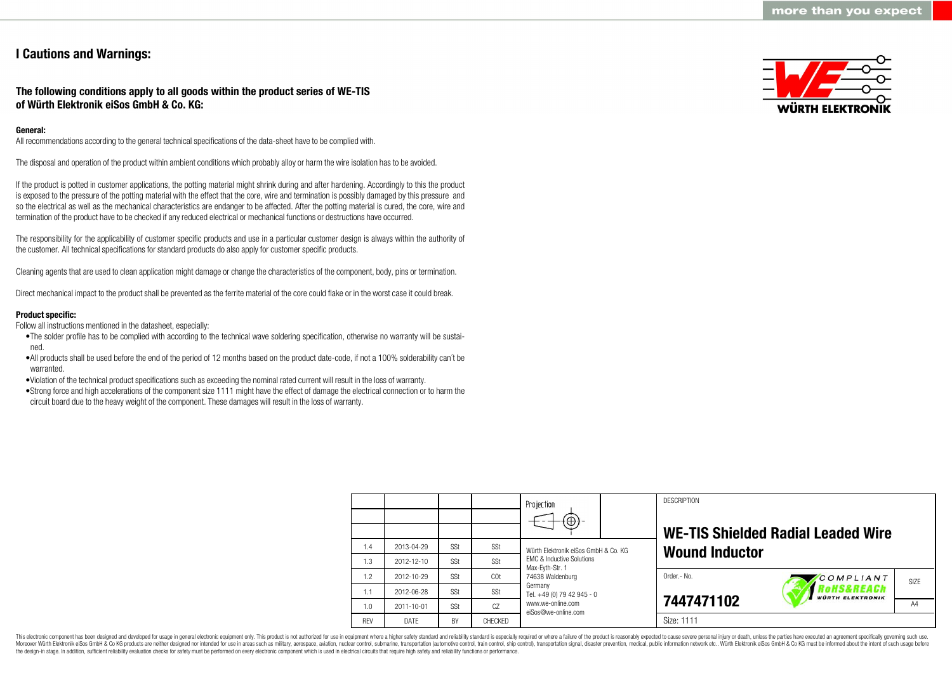# **I Cautions and Warnings:**

## **The following conditions apply to all goods within the product series of WE-TIS of Würth Elektronik eiSos GmbH & Co. KG:**

## **General:**

All recommendations according to the general technical specifications of the data-sheet have to be complied with.

The disposal and operation of the product within ambient conditions which probably alloy or harm the wire isolation has to be avoided.

If the product is potted in customer applications, the potting material might shrink during and after hardening. Accordingly to this the product is exposed to the pressure of the potting material with the effect that the core, wire and termination is possibly damaged by this pressure and so the electrical as well as the mechanical characteristics are endanger to be affected. After the potting material is cured, the core, wire and termination of the product have to be checked if any reduced electrical or mechanical functions or destructions have occurred.

The responsibility for the applicability of customer specific products and use in a particular customer design is always within the authority of the customer. All technical specifications for standard products do also apply for customer specific products.

Cleaning agents that are used to clean application might damage or change the characteristics of the component, body, pins or termination.

Direct mechanical impact to the product shall be prevented as the ferrite material of the core could flake or in the worst case it could break.

## **Product specific:**

Follow all instructions mentioned in the datasheet, especially:

- •The solder profile has to be complied with according to the technical wave soldering specification, otherwise no warranty will be sustained.
- •All products shall be used before the end of the period of 12 months based on the product date-code, if not a 100% solderability can´t be warranted.

•Violation of the technical product specifications such as exceeding the nominal rated current will result in the loss of warranty.

•Strong force and high accelerations of the component size 1111 might have the effect of damage the electrical connection or to harm the circuit board due to the heavy weight of the component. These damages will result in the loss of warranty.



|            |            |     |         | Projection<br>$\circledast$                                                                                                                                      |             | <b>DESCRIPTION</b>    | <b>WE-TIS Shielded Radial Leaded Wire</b> |    |
|------------|------------|-----|---------|------------------------------------------------------------------------------------------------------------------------------------------------------------------|-------------|-----------------------|-------------------------------------------|----|
| 1.4        | 2013-04-29 | SSt | SSt     | Würth Flektronik eiSos GmbH & Co. KG                                                                                                                             |             | <b>Wound Inductor</b> |                                           |    |
| 1.3        | 2012-12-10 | SSt | SSt     | <b>EMC &amp; Inductive Solutions</b><br>Max-Eyth-Str. 1<br>74638 Waldenburg<br>Germany<br>Tel. +49 (0) 79 42 945 - 0<br>www.we-online.com<br>eiSos@we-online.com |             |                       |                                           |    |
| 1.2        | 2012-10-29 | SSt | COt     |                                                                                                                                                                  | Order.- No. | COMPLIANT             | SI <sub>7</sub> F                         |    |
| 1.1        | 2012-06-28 | SSt | SSt     |                                                                                                                                                                  |             |                       | oHS&REACh<br><b>WÜRTH ELEKTRONIK</b>      |    |
| 1.0        | 2011-10-01 | SSt | CZ      |                                                                                                                                                                  |             | 7447471102            |                                           | A4 |
| <b>RFV</b> | DATE       | BY  | CHECKED |                                                                                                                                                                  |             | Size: 1111            |                                           |    |

This electronic component has been designed and developed for usage in general electronic equipment only. This product is not authorized for use in equipment where a higher safety standard and reliability standard is espec Moreover Würth Elektronik eiSos GmbH & Co KG products are neither designed nor intended for use in areas such as military, aerospace, aviation, nuclear control, submarine, transportation (automotive control), tain control) the design-in stage. In addition, sufficient reliability evaluation checks for safety must be performed on every electronic component which is used in electrical circuits that require high safety and reliability functions